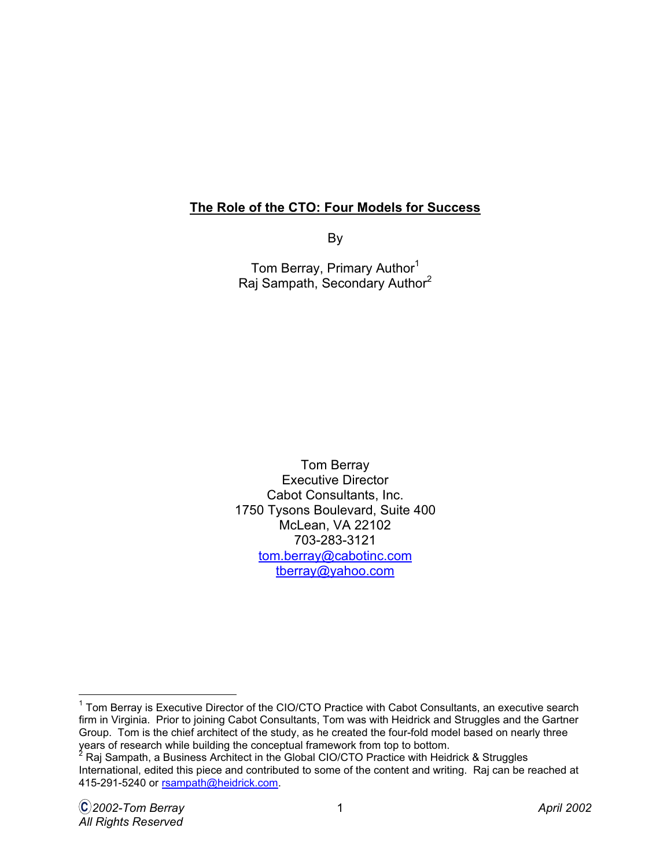## **The Role of the CTO: Four Models for Success**

By

Tom Berray, Primary Author<sup>1</sup> Raj Sampath, Secondary Author<sup>2</sup>

Tom Berray Executive Director Cabot Consultants, Inc. 1750 Tysons Boulevard, Suite 400 McLean, VA 22102 703-283-3121 [tom.berray@cabotinc.com](mailto: tom.berray@cabotinc.com) [tberray@yahoo.com](mailto: tberray@yahoo.com)

 <sup>1</sup> Tom Berray is Executive Director of the CIO/CTO Practice with Cabot Consultants, an executive search firm in Virginia. Prior to joining Cabot Consultants, Tom was with Heidrick and Struggles and the Gartner Group. Tom is the chief architect of the study, as he created the four-fold model based on nearly three

years of research while building the conceptual framework from top to bottom.<br><sup>2</sup> Raj Sampath, a Business Architect in the Global CIO/CTO Practice with Heidrick & Struggles International, edited this piece and contributed to some of the content and writing. Raj can be reached at 415-291-5240 o[r rsampath@heidrick.com.](mailto: rsampath@heidrick.com)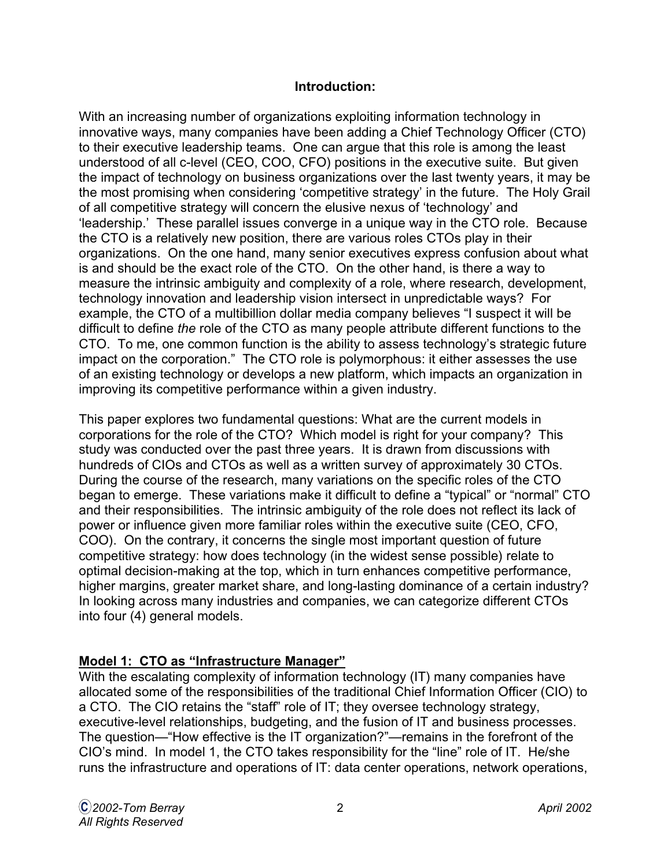#### **Introduction:**

With an increasing number of organizations exploiting information technology in innovative ways, many companies have been adding a Chief Technology Officer (CTO) to their executive leadership teams. One can argue that this role is among the least understood of all c-level (CEO, COO, CFO) positions in the executive suite. But given the impact of technology on business organizations over the last twenty years, it may be the most promising when considering 'competitive strategy' in the future. The Holy Grail of all competitive strategy will concern the elusive nexus of 'technology' and 'leadership.' These parallel issues converge in a unique way in the CTO role. Because the CTO is a relatively new position, there are various roles CTOs play in their organizations. On the one hand, many senior executives express confusion about what is and should be the exact role of the CTO. On the other hand, is there a way to measure the intrinsic ambiguity and complexity of a role, where research, development, technology innovation and leadership vision intersect in unpredictable ways? For example, the CTO of a multibillion dollar media company believes "I suspect it will be difficult to define the role of the CTO as many people attribute different functions to the CTO. To me, one common function is the ability to assess technology's strategic future impact on the corporation." The CTO role is polymorphous: it either assesses the use of an existing technology or develops a new platform, which impacts an organization in improving its competitive performance within a given industry.

This paper explores two fundamental questions: What are the current models in corporations for the role of the CTO? Which model is right for your company? This study was conducted over the past three years. It is drawn from discussions with hundreds of CIOs and CTOs as well as a written survey of approximately 30 CTOs. During the course of the research, many variations on the specific roles of the CTO began to emerge. These variations make it difficult to define a "typical" or "normal" CTO and their responsibilities. The intrinsic ambiguity of the role does not reflect its lack of power or influence given more familiar roles within the executive suite (CEO, CFO, COO). On the contrary, it concerns the single most important question of future competitive strategy: how does technology (in the widest sense possible) relate to optimal decision-making at the top, which in turn enhances competitive performance, higher margins, greater market share, and long-lasting dominance of a certain industry? In looking across many industries and companies, we can categorize different CTOs into four (4) general models.

#### **Model 1: CTO as "Infrastructure Manager"**

With the escalating complexity of information technology (IT) many companies have allocated some of the responsibilities of the traditional Chief Information Officer (CIO) to a CTO. The CIO retains the "staff" role of IT; they oversee technology strategy, executive-level relationships, budgeting, and the fusion of IT and business processes. The question—"How effective is the IT organization?"—remains in the forefront of the CIO's mind. In model 1, the CTO takes responsibility for the "line" role of IT. He/she runs the infrastructure and operations of IT: data center operations, network operations,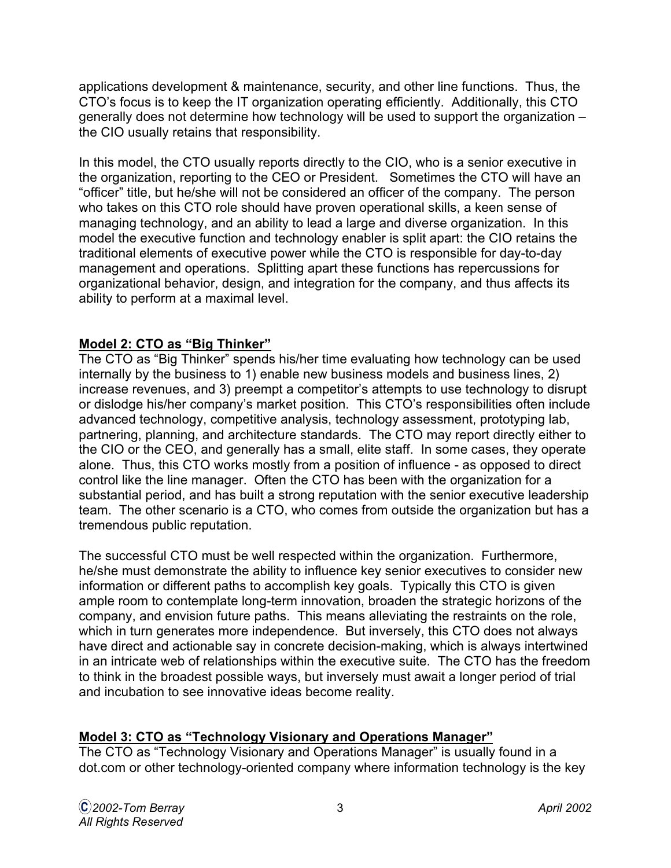applications development & maintenance, security, and other line functions. Thus, the CTO's focus is to keep the IT organization operating efficiently. Additionally, this CTO generally does not determine how technology will be used to support the organization – the CIO usually retains that responsibility.

In this model, the CTO usually reports directly to the CIO, who is a senior executive in the organization, reporting to the CEO or President. Sometimes the CTO will have an "officer" title, but he/she will not be considered an officer of the company. The person who takes on this CTO role should have proven operational skills, a keen sense of managing technology, and an ability to lead a large and diverse organization. In this model the executive function and technology enabler is split apart: the CIO retains the traditional elements of executive power while the CTO is responsible for day-to-day management and operations. Splitting apart these functions has repercussions for organizational behavior, design, and integration for the company, and thus affects its ability to perform at a maximal level.

## **Model 2: CTO as "Big Thinker"**

The CTO as "Big Thinker" spends his/her time evaluating how technology can be used internally by the business to 1) enable new business models and business lines, 2) increase revenues, and 3) preempt a competitor's attempts to use technology to disrupt or dislodge his/her company's market position. This CTO's responsibilities often include advanced technology, competitive analysis, technology assessment, prototyping lab, partnering, planning, and architecture standards. The CTO may report directly either to the CIO or the CEO, and generally has a small, elite staff. In some cases, they operate alone. Thus, this CTO works mostly from a position of influence - as opposed to direct control like the line manager. Often the CTO has been with the organization for a substantial period, and has built a strong reputation with the senior executive leadership team. The other scenario is a CTO, who comes from outside the organization but has a tremendous public reputation.

The successful CTO must be well respected within the organization. Furthermore, he/she must demonstrate the ability to influence key senior executives to consider new information or different paths to accomplish key goals. Typically this CTO is given ample room to contemplate long-term innovation, broaden the strategic horizons of the company, and envision future paths. This means alleviating the restraints on the role, which in turn generates more independence. But inversely, this CTO does not always have direct and actionable say in concrete decision-making, which is always intertwined in an intricate web of relationships within the executive suite. The CTO has the freedom to think in the broadest possible ways, but inversely must await a longer period of trial and incubation to see innovative ideas become reality.

## **Model 3: CTO as "Technology Visionary and Operations Manager"**

The CTO as "Technology Visionary and Operations Manager" is usually found in a dot.com or other technology-oriented company where information technology is the key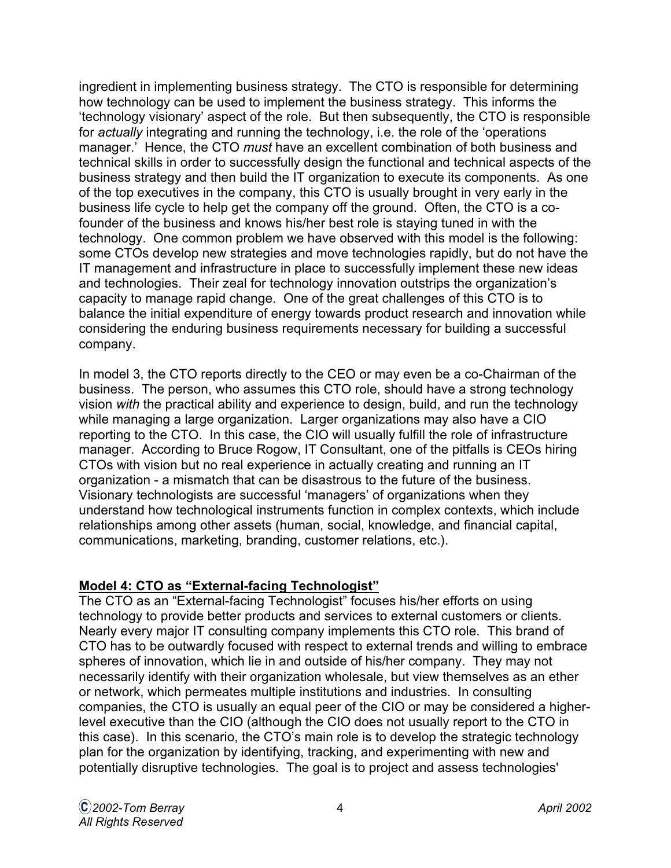ingredient in implementing business strategy. The CTO is responsible for determining how technology can be used to implement the business strategy. This informs the 'technology visionary' aspect of the role. But then subsequently, the CTO is responsible for actually integrating and running the technology, i.e. the role of the 'operations manager.' Hence, the CTO must have an excellent combination of both business and technical skills in order to successfully design the functional and technical aspects of the business strategy and then build the IT organization to execute its components. As one of the top executives in the company, this CTO is usually brought in very early in the business life cycle to help get the company off the ground. Often, the CTO is a cofounder of the business and knows his/her best role is staying tuned in with the technology. One common problem we have observed with this model is the following: some CTOs develop new strategies and move technologies rapidly, but do not have the IT management and infrastructure in place to successfully implement these new ideas and technologies. Their zeal for technology innovation outstrips the organization's capacity to manage rapid change. One of the great challenges of this CTO is to balance the initial expenditure of energy towards product research and innovation while considering the enduring business requirements necessary for building a successful company.

In model 3, the CTO reports directly to the CEO or may even be a co-Chairman of the business. The person, who assumes this CTO role, should have a strong technology vision with the practical ability and experience to design, build, and run the technology while managing a large organization. Larger organizations may also have a CIO reporting to the CTO. In this case, the CIO will usually fulfill the role of infrastructure manager. According to Bruce Rogow, IT Consultant, one of the pitfalls is CEOs hiring CTOs with vision but no real experience in actually creating and running an IT organization - a mismatch that can be disastrous to the future of the business. Visionary technologists are successful 'managers' of organizations when they understand how technological instruments function in complex contexts, which include relationships among other assets (human, social, knowledge, and financial capital, communications, marketing, branding, customer relations, etc.).

## **Model 4: CTO as "External-facing Technologist"**

The CTO as an "External-facing Technologist" focuses his/her efforts on using technology to provide better products and services to external customers or clients. Nearly every major IT consulting company implements this CTO role. This brand of CTO has to be outwardly focused with respect to external trends and willing to embrace spheres of innovation, which lie in and outside of his/her company. They may not necessarily identify with their organization wholesale, but view themselves as an ether or network, which permeates multiple institutions and industries. In consulting companies, the CTO is usually an equal peer of the CIO or may be considered a higherlevel executive than the CIO (although the CIO does not usually report to the CTO in this case). In this scenario, the CTO's main role is to develop the strategic technology plan for the organization by identifying, tracking, and experimenting with new and potentially disruptive technologies. The goal is to project and assess technologies'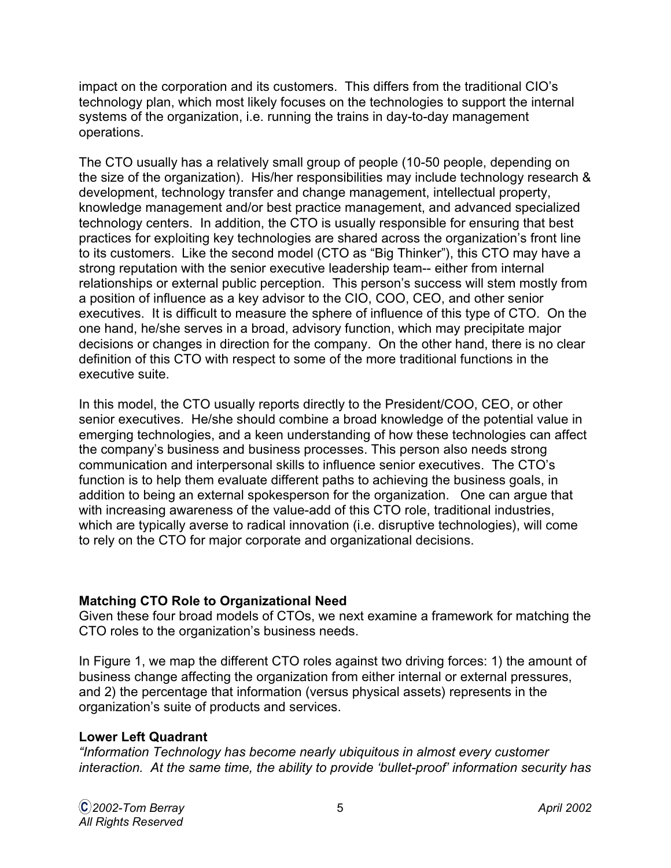impact on the corporation and its customers. This differs from the traditional CIO's technology plan, which most likely focuses on the technologies to support the internal systems of the organization, i.e. running the trains in day-to-day management operations.

The CTO usually has a relatively small group of people (10-50 people, depending on the size of the organization). His/her responsibilities may include technology research & development, technology transfer and change management, intellectual property, knowledge management and/or best practice management, and advanced specialized technology centers. In addition, the CTO is usually responsible for ensuring that best practices for exploiting key technologies are shared across the organization's front line to its customers. Like the second model (CTO as "Big Thinker"), this CTO may have a strong reputation with the senior executive leadership team-- either from internal relationships or external public perception. This person's success will stem mostly from a position of influence as a key advisor to the CIO, COO, CEO, and other senior executives. It is difficult to measure the sphere of influence of this type of CTO. On the one hand, he/she serves in a broad, advisory function, which may precipitate major decisions or changes in direction for the company. On the other hand, there is no clear definition of this CTO with respect to some of the more traditional functions in the executive suite.

In this model, the CTO usually reports directly to the President/COO, CEO, or other senior executives. He/she should combine a broad knowledge of the potential value in emerging technologies, and a keen understanding of how these technologies can affect the company's business and business processes. This person also needs strong communication and interpersonal skills to influence senior executives. The CTO's function is to help them evaluate different paths to achieving the business goals, in addition to being an external spokesperson for the organization. One can argue that with increasing awareness of the value-add of this CTO role, traditional industries, which are typically averse to radical innovation (i.e. disruptive technologies), will come to rely on the CTO for major corporate and organizational decisions.

#### **Matching CTO Role to Organizational Need**

Given these four broad models of CTOs, we next examine a framework for matching the CTO roles to the organization's business needs.

In Figure 1, we map the different CTO roles against two driving forces: 1) the amount of business change affecting the organization from either internal or external pressures, and 2) the percentage that information (versus physical assets) represents in the organization's suite of products and services.

## **Lower Left Quadrant**

"Information Technology has become nearly ubiquitous in almost every customer interaction. At the same time, the ability to provide 'bullet-proof' information security has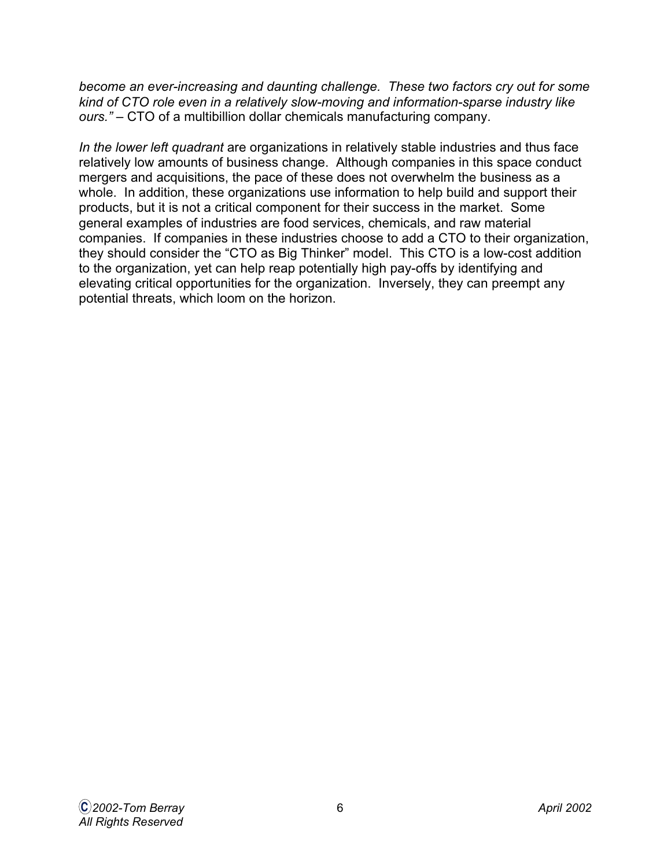become an ever-increasing and daunting challenge. These two factors cry out for some kind of CTO role even in a relatively slow-moving and information-sparse industry like ours." – CTO of a multibillion dollar chemicals manufacturing company.

In the lower left quadrant are organizations in relatively stable industries and thus face relatively low amounts of business change. Although companies in this space conduct mergers and acquisitions, the pace of these does not overwhelm the business as a whole. In addition, these organizations use information to help build and support their products, but it is not a critical component for their success in the market. Some general examples of industries are food services, chemicals, and raw material companies. If companies in these industries choose to add a CTO to their organization, they should consider the "CTO as Big Thinker" model. This CTO is a low-cost addition to the organization, yet can help reap potentially high pay-offs by identifying and elevating critical opportunities for the organization. Inversely, they can preempt any potential threats, which loom on the horizon.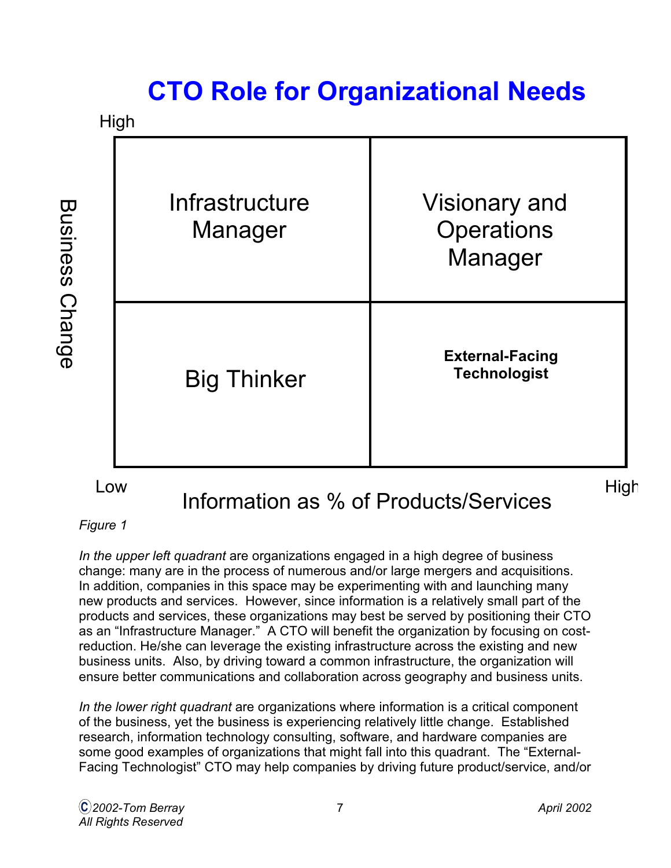# **CTO Role for Organizational Needs**



#### Figure 1

In the upper left quadrant are organizations engaged in a high degree of business change: many are in the process of numerous and/or large mergers and acquisitions. In addition, companies in this space may be experimenting with and launching many new products and services. However, since information is a relatively small part of the products and services, these organizations may best be served by positioning their CTO as an "Infrastructure Manager." A CTO will benefit the organization by focusing on costreduction. He/she can leverage the existing infrastructure across the existing and new business units. Also, by driving toward a common infrastructure, the organization will ensure better communications and collaboration across geography and business units.

In the lower right quadrant are organizations where information is a critical component of the business, yet the business is experiencing relatively little change. Established research, information technology consulting, software, and hardware companies are some good examples of organizations that might fall into this quadrant. The "External-Facing Technologist" CTO may help companies by driving future product/service, and/or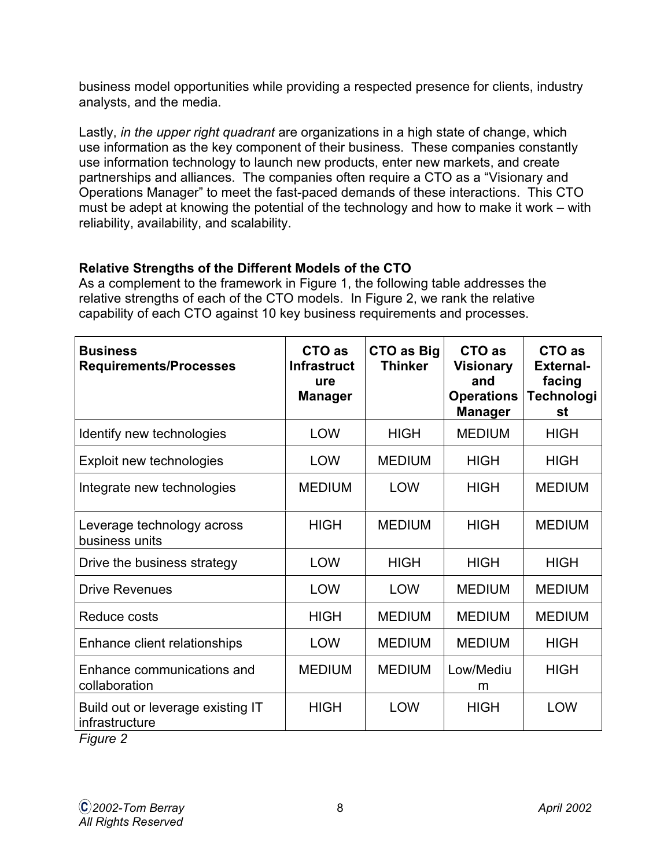business model opportunities while providing a respected presence for clients, industry analysts, and the media.

Lastly, in the upper right quadrant are organizations in a high state of change, which use information as the key component of their business. These companies constantly use information technology to launch new products, enter new markets, and create partnerships and alliances. The companies often require a CTO as a "Visionary and Operations Manager" to meet the fast-paced demands of these interactions. This CTO must be adept at knowing the potential of the technology and how to make it work – with reliability, availability, and scalability.

## **Relative Strengths of the Different Models of the CTO**

As a complement to the framework in Figure 1, the following table addresses the relative strengths of each of the CTO models. In Figure 2, we rank the relative capability of each CTO against 10 key business requirements and processes.

| <b>Business</b><br><b>Requirements/Processes</b>                            | CTO as<br><b>Infrastruct</b><br>ure<br><b>Manager</b> | <b>CTO as Big</b><br><b>Thinker</b> | CTO as<br><b>Visionary</b><br>and<br><b>Operations</b><br><b>Manager</b> | CTO as<br><b>External-</b><br>facing<br><b>Technologi</b><br>st |
|-----------------------------------------------------------------------------|-------------------------------------------------------|-------------------------------------|--------------------------------------------------------------------------|-----------------------------------------------------------------|
| Identify new technologies                                                   | <b>LOW</b>                                            | <b>HIGH</b>                         | <b>MEDIUM</b>                                                            | <b>HIGH</b>                                                     |
| Exploit new technologies                                                    | <b>LOW</b>                                            | <b>MEDIUM</b>                       | <b>HIGH</b>                                                              | <b>HIGH</b>                                                     |
| Integrate new technologies                                                  | <b>MEDIUM</b>                                         | <b>LOW</b>                          | <b>HIGH</b>                                                              | <b>MEDIUM</b>                                                   |
| Leverage technology across<br>business units                                | <b>HIGH</b>                                           | <b>MEDIUM</b>                       | <b>HIGH</b>                                                              | <b>MEDIUM</b>                                                   |
| Drive the business strategy                                                 | <b>LOW</b>                                            | <b>HIGH</b>                         | <b>HIGH</b>                                                              | <b>HIGH</b>                                                     |
| <b>Drive Revenues</b>                                                       | <b>LOW</b>                                            | <b>LOW</b>                          | <b>MEDIUM</b>                                                            | <b>MEDIUM</b>                                                   |
| Reduce costs                                                                | <b>HIGH</b>                                           | <b>MEDIUM</b>                       | <b>MEDIUM</b>                                                            | <b>MEDIUM</b>                                                   |
| Enhance client relationships                                                | <b>LOW</b>                                            | <b>MEDIUM</b>                       | <b>MEDIUM</b>                                                            | <b>HIGH</b>                                                     |
| Enhance communications and<br>collaboration                                 | <b>MEDIUM</b>                                         | <b>MEDIUM</b>                       | Low/Mediu<br>m                                                           | <b>HIGH</b>                                                     |
| Build out or leverage existing IT<br>infrastructure<br>$E_{\text{intra}}$ 2 | <b>HIGH</b>                                           | <b>LOW</b>                          | <b>HIGH</b>                                                              | <b>LOW</b>                                                      |

Figure 2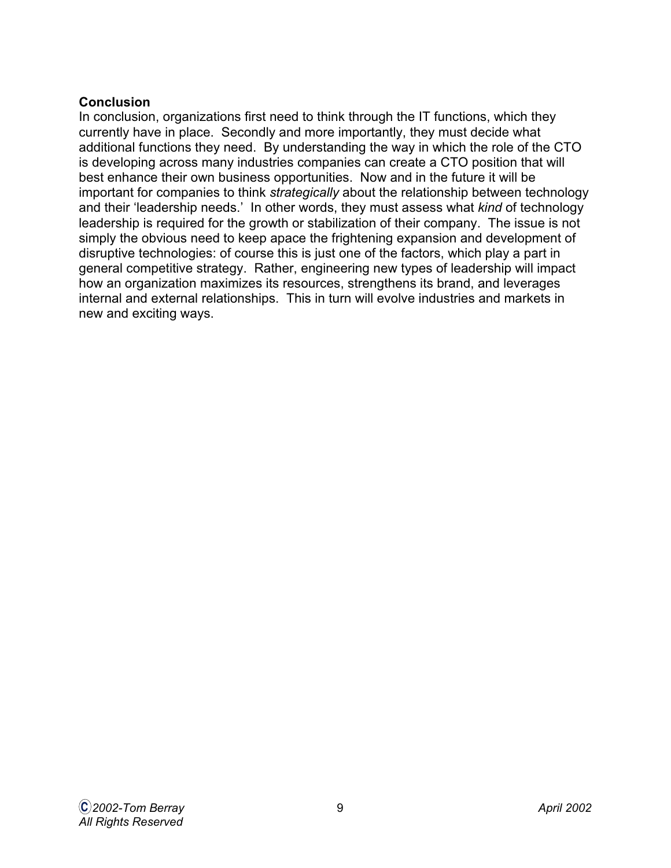## **Conclusion**

In conclusion, organizations first need to think through the IT functions, which they currently have in place. Secondly and more importantly, they must decide what additional functions they need. By understanding the way in which the role of the CTO is developing across many industries companies can create a CTO position that will best enhance their own business opportunities. Now and in the future it will be important for companies to think strategically about the relationship between technology and their 'leadership needs.' In other words, they must assess what kind of technology leadership is required for the growth or stabilization of their company. The issue is not simply the obvious need to keep apace the frightening expansion and development of disruptive technologies: of course this is just one of the factors, which play a part in general competitive strategy. Rather, engineering new types of leadership will impact how an organization maximizes its resources, strengthens its brand, and leverages internal and external relationships. This in turn will evolve industries and markets in new and exciting ways.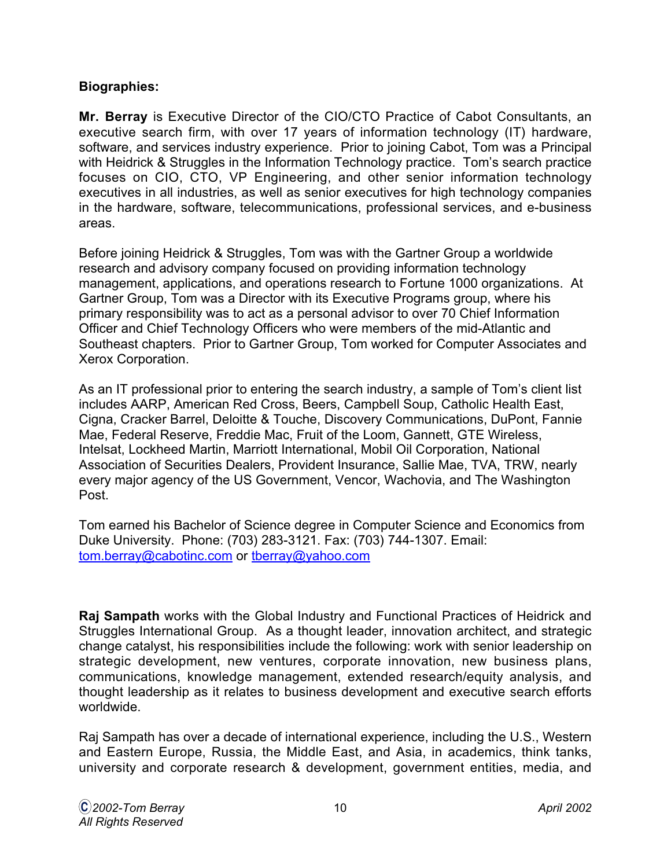## **Biographies:**

**Mr. Berray** is Executive Director of the CIO/CTO Practice of Cabot Consultants, an executive search firm, with over 17 years of information technology (IT) hardware, software, and services industry experience. Prior to joining Cabot, Tom was a Principal with Heidrick & Struggles in the Information Technology practice. Tom's search practice focuses on CIO, CTO, VP Engineering, and other senior information technology executives in all industries, as well as senior executives for high technology companies in the hardware, software, telecommunications, professional services, and e-business areas.

Before joining Heidrick & Struggles, Tom was with the Gartner Group a worldwide research and advisory company focused on providing information technology management, applications, and operations research to Fortune 1000 organizations. At Gartner Group, Tom was a Director with its Executive Programs group, where his primary responsibility was to act as a personal advisor to over 70 Chief Information Officer and Chief Technology Officers who were members of the mid-Atlantic and Southeast chapters. Prior to Gartner Group, Tom worked for Computer Associates and Xerox Corporation.

As an IT professional prior to entering the search industry, a sample of Tom's client list includes AARP, American Red Cross, Beers, Campbell Soup, Catholic Health East, Cigna, Cracker Barrel, Deloitte & Touche, Discovery Communications, DuPont, Fannie Mae, Federal Reserve, Freddie Mac, Fruit of the Loom, Gannett, GTE Wireless, Intelsat, Lockheed Martin, Marriott International, Mobil Oil Corporation, National Association of Securities Dealers, Provident Insurance, Sallie Mae, TVA, TRW, nearly every major agency of the US Government, Vencor, Wachovia, and The Washington Post.

Tom earned his Bachelor of Science degree in Computer Science and Economics from Duke University. Phone: (703) 283-3121. Fax: (703) 744-1307. Email: [tom.berray@cabotinc.com o](mailto: tom.berray@cabotinc.com)[r tberray@yahoo.com](mailto: tberray@yahoo.com)

**Raj Sampath** works with the Global Industry and Functional Practices of Heidrick and Struggles International Group. As a thought leader, innovation architect, and strategic change catalyst, his responsibilities include the following: work with senior leadership on strategic development, new ventures, corporate innovation, new business plans, communications, knowledge management, extended research/equity analysis, and thought leadership as it relates to business development and executive search efforts worldwide.

Raj Sampath has over a decade of international experience, including the U.S., Western and Eastern Europe, Russia, the Middle East, and Asia, in academics, think tanks, university and corporate research & development, government entities, media, and